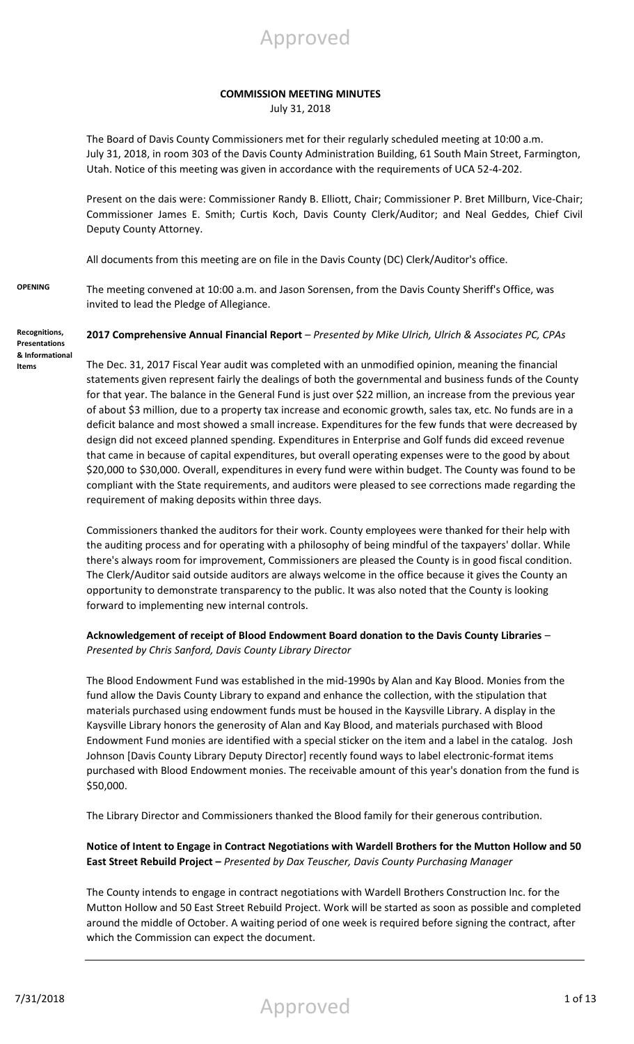

#### **COMMISSION MEETING MINUTES**

July 31, 2018

The Board of Davis County Commissioners met for their regularly scheduled meeting at 10:00 a.m. July 31, 2018, in room 303 of the Davis County Administration Building, 61 South Main Street, Farmington, Utah. Notice of this meeting was given in accordance with the requirements of UCA 52-4-202.

Present on the dais were: Commissioner Randy B. Elliott, Chair; Commissioner P. Bret Millburn, Vice-Chair; Commissioner James E. Smith; Curtis Koch, Davis County Clerk/Auditor; and Neal Geddes, Chief Civil Deputy County Attorney.

All documents from this meeting are on file in the Davis County (DC) Clerk/Auditor's office.

**OPENING** The meeting convened at 10:00 a.m. and Jason Sorensen, from the Davis County Sheriff's Office, was invited to lead the Pledge of Allegiance.

**Recognitions, Presentations & Informational Items** 

# **2017 Comprehensive Annual Financial Report** – *Presented by Mike Ulrich, Ulrich & Associates PC, CPAs*

The Dec. 31, 2017 Fiscal Year audit was completed with an unmodified opinion, meaning the financial statements given represent fairly the dealings of both the governmental and business funds of the County for that year. The balance in the General Fund is just over \$22 million, an increase from the previous year of about \$3 million, due to a property tax increase and economic growth, sales tax, etc. No funds are in a deficit balance and most showed a small increase. Expenditures for the few funds that were decreased by design did not exceed planned spending. Expenditures in Enterprise and Golf funds did exceed revenue that came in because of capital expenditures, but overall operating expenses were to the good by about \$20,000 to \$30,000. Overall, expenditures in every fund were within budget. The County was found to be compliant with the State requirements, and auditors were pleased to see corrections made regarding the requirement of making deposits within three days.

Commissioners thanked the auditors for their work. County employees were thanked for their help with the auditing process and for operating with a philosophy of being mindful of the taxpayers' dollar. While there's always room for improvement, Commissioners are pleased the County is in good fiscal condition. The Clerk/Auditor said outside auditors are always welcome in the office because it gives the County an opportunity to demonstrate transparency to the public. It was also noted that the County is looking forward to implementing new internal controls.

### **Acknowledgement of receipt of Blood Endowment Board donation to the Davis County Libraries** – *Presented by Chris Sanford, Davis County Library Director*

The Blood Endowment Fund was established in the mid-1990s by Alan and Kay Blood. Monies from the fund allow the Davis County Library to expand and enhance the collection, with the stipulation that materials purchased using endowment funds must be housed in the Kaysville Library. A display in the Kaysville Library honors the generosity of Alan and Kay Blood, and materials purchased with Blood Endowment Fund monies are identified with a special sticker on the item and a label in the catalog. Josh Johnson [Davis County Library Deputy Director] recently found ways to label electronic-format items purchased with Blood Endowment monies. The receivable amount of this year's donation from the fund is \$50,000.

The Library Director and Commissioners thanked the Blood family for their generous contribution.

### **Notice of Intent to Engage in Contract Negotiations with Wardell Brothers for the Mutton Hollow and 50 East Street Rebuild Project –** *Presented by Dax Teuscher, Davis County Purchasing Manager*

The County intends to engage in contract negotiations with Wardell Brothers Construction Inc. for the Mutton Hollow and 50 East Street Rebuild Project. Work will be started as soon as possible and completed around the middle of October. A waiting period of one week is required before signing the contract, after which the Commission can expect the document.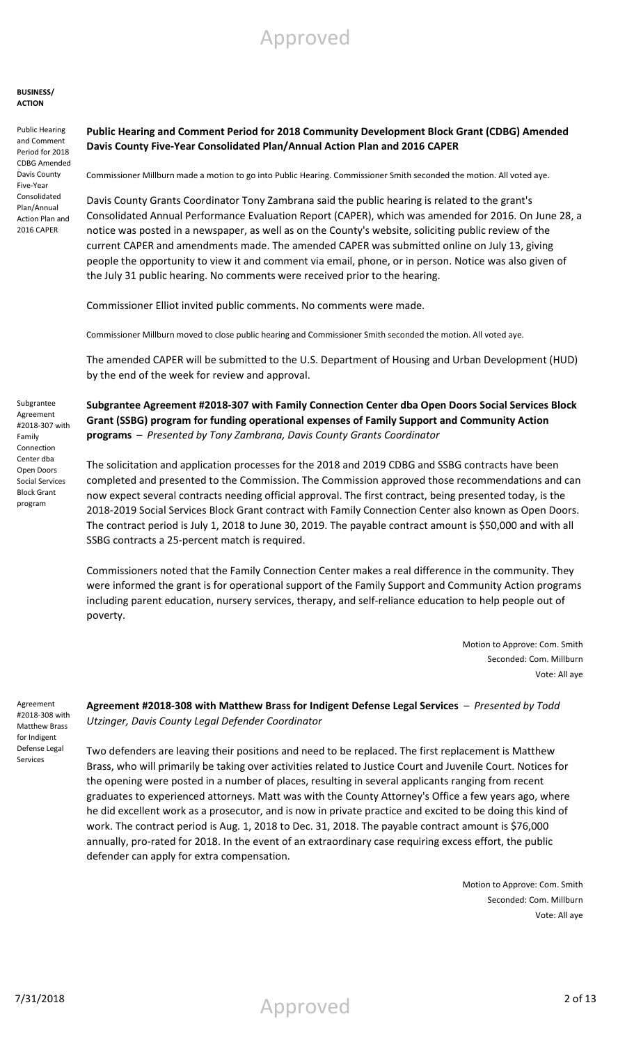#### **BUSINESS/ ACTION**

Public Hearing and Comment Period for 2018 CDBG Amended Davis County Five-Year Consolidated Plan/Annual Action Plan and 2016 CAPER

Subgrantee Agreement #2018-307 with Family Connection Center dba Open Doors Social Services Block Grant program

### **Public Hearing and Comment Period for 2018 Community Development Block Grant (CDBG) Amended Davis County Five-Year Consolidated Plan/Annual Action Plan and 2016 CAPER**

Commissioner Millburn made a motion to go into Public Hearing. Commissioner Smith seconded the motion. All voted aye.

Davis County Grants Coordinator Tony Zambrana said the public hearing is related to the grant's Consolidated Annual Performance Evaluation Report (CAPER), which was amended for 2016. On June 28, a notice was posted in a newspaper, as well as on the County's website, soliciting public review of the current CAPER and amendments made. The amended CAPER was submitted online on July 13, giving people the opportunity to view it and comment via email, phone, or in person. Notice was also given of the July 31 public hearing. No comments were received prior to the hearing.

Commissioner Elliot invited public comments. No comments were made.

Commissioner Millburn moved to close public hearing and Commissioner Smith seconded the motion. All voted aye.

The amended CAPER will be submitted to the U.S. Department of Housing and Urban Development (HUD) by the end of the week for review and approval.

**Subgrantee Agreement #2018-307 with Family Connection Center dba Open Doors Social Services Block Grant (SSBG) program for funding operational expenses of Family Support and Community Action programs** – *Presented by Tony Zambrana, Davis County Grants Coordinator*

The solicitation and application processes for the 2018 and 2019 CDBG and SSBG contracts have been completed and presented to the Commission. The Commission approved those recommendations and can now expect several contracts needing official approval. The first contract, being presented today, is the 2018-2019 Social Services Block Grant contract with Family Connection Center also known as Open Doors. The contract period is July 1, 2018 to June 30, 2019. The payable contract amount is \$50,000 and with all SSBG contracts a 25-percent match is required.

Commissioners noted that the Family Connection Center makes a real difference in the community. They were informed the grant is for operational support of the Family Support and Community Action programs including parent education, nursery services, therapy, and self-reliance education to help people out of poverty.

> Motion to Approve: Com. Smith Seconded: Com. Millburn Vote: All aye

Agreement #2018-308 with Matthew Brass for Indigent Defense Legal Services

**Agreement #2018-308 with Matthew Brass for Indigent Defense Legal Services** – *Presented by Todd Utzinger, Davis County Legal Defender Coordinator*

Two defenders are leaving their positions and need to be replaced. The first replacement is Matthew Brass, who will primarily be taking over activities related to Justice Court and Juvenile Court. Notices for the opening were posted in a number of places, resulting in several applicants ranging from recent graduates to experienced attorneys. Matt was with the County Attorney's Office a few years ago, where he did excellent work as a prosecutor, and is now in private practice and excited to be doing this kind of work. The contract period is Aug. 1, 2018 to Dec. 31, 2018. The payable contract amount is \$76,000 annually, pro-rated for 2018. In the event of an extraordinary case requiring excess effort, the public defender can apply for extra compensation.

> Motion to Approve: Com. Smith Seconded: Com. Millburn Vote: All aye

7/31/2018 Approved 2 of 13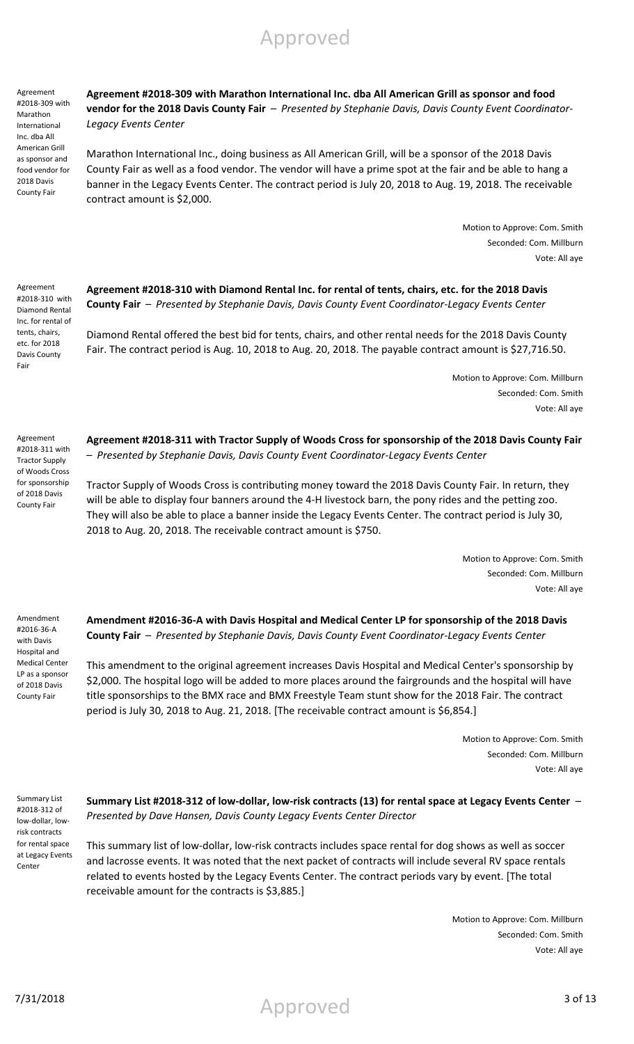Agreement #2018-309 with Marathon International Inc. dba All American Grill as sponsor and food vendor for 2018 Davis County Fair

**Agreement #2018-309 with Marathon International Inc. dba All American Grill as sponsor and food vendor for the 2018 Davis County Fair** – *Presented by Stephanie Davis, Davis County Event Coordinator-Legacy Events Center*

Marathon International Inc., doing business as All American Grill, will be a sponsor of the 2018 Davis County Fair as well as a food vendor. The vendor will have a prime spot at the fair and be able to hang a banner in the Legacy Events Center. The contract period is July 20, 2018 to Aug. 19, 2018. The receivable contract amount is \$2,000.

> Motion to Approve: Com. Smith Seconded: Com. Millburn Vote: All aye

Agreement #2018-310 with Diamond Rental Inc. for rental of tents, chairs, etc. for 2018 Davis County Fair

**Agreement #2018-310 with Diamond Rental Inc. for rental of tents, chairs, etc. for the 2018 Davis County Fair** – *Presented by Stephanie Davis, Davis County Event Coordinator-Legacy Events Center*

Diamond Rental offered the best bid for tents, chairs, and other rental needs for the 2018 Davis County Fair. The contract period is Aug. 10, 2018 to Aug. 20, 2018. The payable contract amount is \$27,716.50.

> Motion to Approve: Com. Millburn Seconded: Com. Smith Vote: All aye

**Agreement #2018-311 with Tractor Supply of Woods Cross for sponsorship of the 2018 Davis County Fair**  – *Presented by Stephanie Davis, Davis County Event Coordinator-Legacy Events Center*

Tractor Supply of Woods Cross is contributing money toward the 2018 Davis County Fair. In return, they will be able to display four banners around the 4-H livestock barn, the pony rides and the petting zoo. They will also be able to place a banner inside the Legacy Events Center. The contract period is July 30, 2018 to Aug. 20, 2018. The receivable contract amount is \$750.

> Motion to Approve: Com. Smith Seconded: Com. Millburn Vote: All aye

Amendment #2016-36-A with Davis Hospital and Medical Center LP as a sponsor of 2018 Davis County Fair

**Amendment #2016-36-A with Davis Hospital and Medical Center LP for sponsorship of the 2018 Davis County Fair** – *Presented by Stephanie Davis, Davis County Event Coordinator-Legacy Events Center*

This amendment to the original agreement increases Davis Hospital and Medical Center's sponsorship by \$2,000. The hospital logo will be added to more places around the fairgrounds and the hospital will have title sponsorships to the BMX race and BMX Freestyle Team stunt show for the 2018 Fair. The contract period is July 30, 2018 to Aug. 21, 2018. [The receivable contract amount is \$6,854.]

> Motion to Approve: Com. Smith Seconded: Com. Millburn Vote: All aye

Summary List #2018-312 of low-dollar, lowrisk contracts for rental space at Legacy Events Center

**Summary List #2018-312 of low-dollar, low-risk contracts (13) for rental space at Legacy Events Center** – *Presented by Dave Hansen, Davis County Legacy Events Center Director*

This summary list of low-dollar, low-risk contracts includes space rental for dog shows as well as soccer and lacrosse events. It was noted that the next packet of contracts will include several RV space rentals related to events hosted by the Legacy Events Center. The contract periods vary by event. [The total receivable amount for the contracts is \$3,885.]

> Motion to Approve: Com. Millburn Seconded: Com. Smith Vote: All aye

County Fair

Agreement #2018-311 with Tractor Supply of Woods Cross for sponsorship of 2018 Davis

7/31/2018 Approved 3 of 13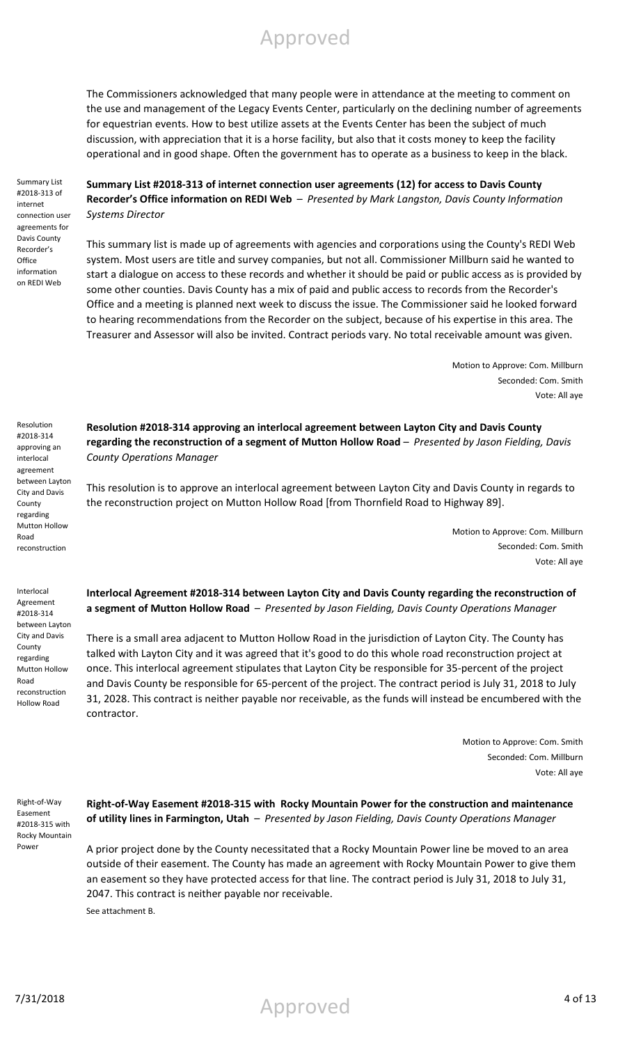The Commissioners acknowledged that many people were in attendance at the meeting to comment on the use and management of the Legacy Events Center, particularly on the declining number of agreements for equestrian events. How to best utilize assets at the Events Center has been the subject of much discussion, with appreciation that it is a horse facility, but also that it costs money to keep the facility operational and in good shape. Often the government has to operate as a business to keep in the black.

Summary List #2018-313 of internet connection user agreements for Davis County Recorder's **Office** information on REDI Web

**Summary List #2018-313 of internet connection user agreements (12) for access to Davis County Recorder's Office information on REDI Web** – *Presented by Mark Langston, Davis County Information Systems Director*

This summary list is made up of agreements with agencies and corporations using the County's REDI Web system. Most users are title and survey companies, but not all. Commissioner Millburn said he wanted to start a dialogue on access to these records and whether it should be paid or public access as is provided by some other counties. Davis County has a mix of paid and public access to records from the Recorder's Office and a meeting is planned next week to discuss the issue. The Commissioner said he looked forward to hearing recommendations from the Recorder on the subject, because of his expertise in this area. The Treasurer and Assessor will also be invited. Contract periods vary. No total receivable amount was given.

> Motion to Approve: Com. Millburn Seconded: Com. Smith Vote: All aye

Resolution #2018-314 approving an interlocal agreement between Layton City and Davis County regarding Mutton Hollow Road reconstruction

Interlocal Agreement #2018-314 between Layton City and Davis County regarding Mutton Hollow Road reconstruction Hollow Road

**Resolution #2018-314 approving an interlocal agreement between Layton City and Davis County regarding the reconstruction of a segment of Mutton Hollow Road** – *Presented by Jason Fielding, Davis County Operations Manager*

This resolution is to approve an interlocal agreement between Layton City and Davis County in regards to the reconstruction project on Mutton Hollow Road [from Thornfield Road to Highway 89].

> Motion to Approve: Com. Millburn Seconded: Com. Smith Vote: All aye

**Interlocal Agreement #2018-314 between Layton City and Davis County regarding the reconstruction of a segment of Mutton Hollow Road** – *Presented by Jason Fielding, Davis County Operations Manager*

There is a small area adjacent to Mutton Hollow Road in the jurisdiction of Layton City. The County has talked with Layton City and it was agreed that it's good to do this whole road reconstruction project at once. This interlocal agreement stipulates that Layton City be responsible for 35-percent of the project and Davis County be responsible for 65-percent of the project. The contract period is July 31, 2018 to July 31, 2028. This contract is neither payable nor receivable, as the funds will instead be encumbered with the contractor.

> Motion to Approve: Com. Smith Seconded: Com. Millburn Vote: All aye

Right-of-Way Easement #2018-315 with Rocky Mountain Power

**Right-of-Way Easement #2018-315 with Rocky Mountain Power for the construction and maintenance of utility lines in Farmington, Utah** – *Presented by Jason Fielding, Davis County Operations Manager*

A prior project done by the County necessitated that a Rocky Mountain Power line be moved to an area outside of their easement. The County has made an agreement with Rocky Mountain Power to give them an easement so they have protected access for that line. The contract period is July 31, 2018 to July 31, 2047. This contract is neither payable nor receivable. See attachment B.

7/31/2018 4 of 13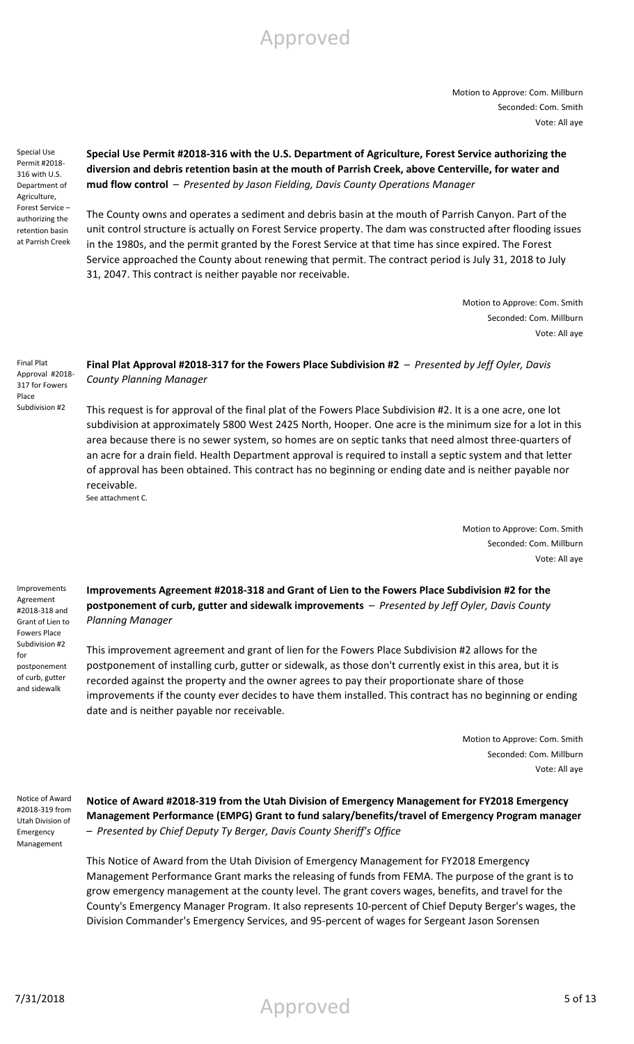Motion to Approve: Com. Millburn Seconded: Com. Smith Vote: All aye

Special Use Permit #2018- 316 with U.S. Department of Agriculture, Forest Service – authorizing the retention basin at Parrish Creek

**Special Use Permit #2018-316 with the U.S. Department of Agriculture, Forest Service authorizing the diversion and debris retention basin at the mouth of Parrish Creek, above Centerville, for water and mud flow control** – *Presented by Jason Fielding, Davis County Operations Manager*

The County owns and operates a sediment and debris basin at the mouth of Parrish Canyon. Part of the unit control structure is actually on Forest Service property. The dam was constructed after flooding issues in the 1980s, and the permit granted by the Forest Service at that time has since expired. The Forest Service approached the County about renewing that permit. The contract period is July 31, 2018 to July 31, 2047. This contract is neither payable nor receivable.

> Motion to Approve: Com. Smith Seconded: Com. Millburn Vote: All aye

Final Plat Approval #2018- 317 for Fowers Place Subdivision #2

**Final Plat Approval #2018-317 for the Fowers Place Subdivision #2** – *Presented by Jeff Oyler, Davis County Planning Manager*

This request is for approval of the final plat of the Fowers Place Subdivision #2. It is a one acre, one lot subdivision at approximately 5800 West 2425 North, Hooper. One acre is the minimum size for a lot in this area because there is no sewer system, so homes are on septic tanks that need almost three-quarters of an acre for a drain field. Health Department approval is required to install a septic system and that letter of approval has been obtained. This contract has no beginning or ending date and is neither payable nor receivable. See attachment C.

> Motion to Approve: Com. Smith Seconded: Com. Millburn Vote: All aye

Improvements Agreement #2018-318 and Grant of Lien to Fowers Place Subdivision #2 for postponement of curb, gutter and sidewalk

**Improvements Agreement #2018-318 and Grant of Lien to the Fowers Place Subdivision #2 for the postponement of curb, gutter and sidewalk improvements** – *Presented by Jeff Oyler, Davis County Planning Manager*

This improvement agreement and grant of lien for the Fowers Place Subdivision #2 allows for the postponement of installing curb, gutter or sidewalk, as those don't currently exist in this area, but it is recorded against the property and the owner agrees to pay their proportionate share of those improvements if the county ever decides to have them installed. This contract has no beginning or ending date and is neither payable nor receivable.

> Motion to Approve: Com. Smith Seconded: Com. Millburn Vote: All aye

Notice of Award #2018-319 from Utah Division of Emergency Management

**Notice of Award #2018-319 from the Utah Division of Emergency Management for FY2018 Emergency Management Performance (EMPG) Grant to fund salary/benefits/travel of Emergency Program manager**  – *Presented by Chief Deputy Ty Berger, Davis County Sheriff's Office*

This Notice of Award from the Utah Division of Emergency Management for FY2018 Emergency Management Performance Grant marks the releasing of funds from FEMA. The purpose of the grant is to grow emergency management at the county level. The grant covers wages, benefits, and travel for the County's Emergency Manager Program. It also represents 10-percent of Chief Deputy Berger's wages, the Division Commander's Emergency Services, and 95-percent of wages for Sergeant Jason Sorensen

7/31/2018 5 of 13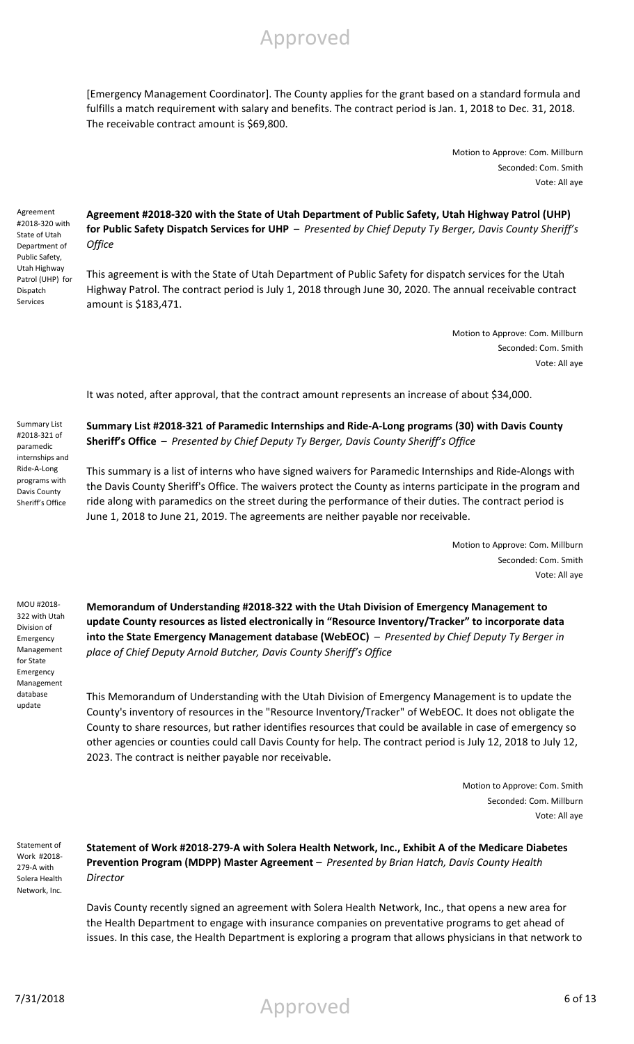Agreement #2018-320 with State of Utah Department of Public Safety, Utah Highway Patrol (UHP) for Dispatch Services

Summary List #2018-321 of paramedic internships and Ride-A-Long programs with Davis County Sheriff's Office

#### **Agreement #2018-320 with the State of Utah Department of Public Safety, Utah Highway Patrol (UHP) for Public Safety Dispatch Services for UHP** – *Presented by Chief Deputy Ty Berger, Davis County Sheriff's Office*

[Emergency Management Coordinator]. The County applies for the grant based on a standard formula and fulfills a match requirement with salary and benefits. The contract period is Jan. 1, 2018 to Dec. 31, 2018.

This agreement is with the State of Utah Department of Public Safety for dispatch services for the Utah Highway Patrol. The contract period is July 1, 2018 through June 30, 2020. The annual receivable contract amount is \$183,471.

> Motion to Approve: Com. Millburn Seconded: Com. Smith Vote: All aye

> Motion to Approve: Com. Millburn

Seconded: Com. Smith

Vote: All aye

It was noted, after approval, that the contract amount represents an increase of about \$34,000.

**Summary List #2018-321 of Paramedic Internships and Ride-A-Long programs (30) with Davis County Sheriff's Office** – *Presented by Chief Deputy Ty Berger, Davis County Sheriff's Office*

This summary is a list of interns who have signed waivers for Paramedic Internships and Ride-Alongs with the Davis County Sheriff's Office. The waivers protect the County as interns participate in the program and ride along with paramedics on the street during the performance of their duties. The contract period is June 1, 2018 to June 21, 2019. The agreements are neither payable nor receivable.

> Motion to Approve: Com. Millburn Seconded: Com. Smith Vote: All aye

MOU #2018- 322 with Utah Division of Emergency Management for State Emergency Management database update

**Memorandum of Understanding #2018-322 with the Utah Division of Emergency Management to update County resources as listed electronically in "Resource Inventory/Tracker" to incorporate data into the State Emergency Management database (WebEOC)** – *Presented by Chief Deputy Ty Berger in place of Chief Deputy Arnold Butcher, Davis County Sheriff's Office*

This Memorandum of Understanding with the Utah Division of Emergency Management is to update the County's inventory of resources in the "Resource Inventory/Tracker" of WebEOC. It does not obligate the County to share resources, but rather identifies resources that could be available in case of emergency so other agencies or counties could call Davis County for help. The contract period is July 12, 2018 to July 12, 2023. The contract is neither payable nor receivable.

> Motion to Approve: Com. Smith Seconded: Com. Millburn Vote: All aye

Statement of Work #2018- 279-A with Solera Health Network, Inc.

### **Statement of Work #2018-279-A with Solera Health Network, Inc., Exhibit A of the Medicare Diabetes Prevention Program (MDPP) Master Agreement** – *Presented by Brian Hatch, Davis County Health Director*

Davis County recently signed an agreement with Solera Health Network, Inc., that opens a new area for the Health Department to engage with insurance companies on preventative programs to get ahead of issues. In this case, the Health Department is exploring a program that allows physicians in that network to

Approved



The receivable contract amount is \$69,800.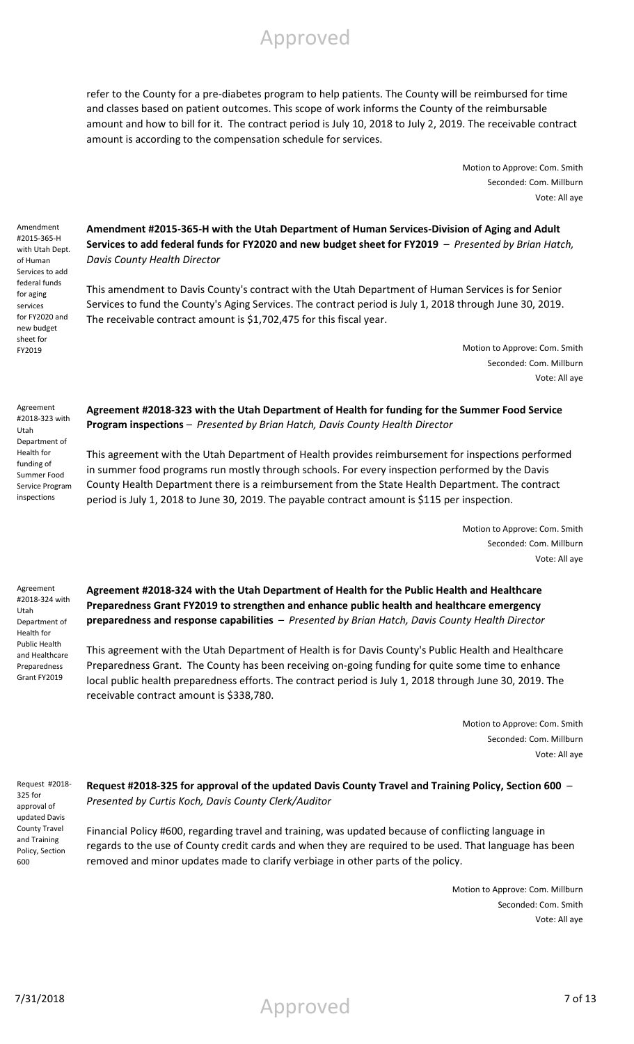refer to the County for a pre-diabetes program to help patients. The County will be reimbursed for time and classes based on patient outcomes. This scope of work informs the County of the reimbursable amount and how to bill for it. The contract period is July 10, 2018 to July 2, 2019. The receivable contract amount is according to the compensation schedule for services.

> Motion to Approve: Com. Smith Seconded: Com. Millburn Vote: All aye

Amendment #2015-365-H with Utah Dept. of Human Services to add federal funds for aging services for FY2020 and new budget sheet for FY2019

**Amendment #2015-365-H with the Utah Department of Human Services-Division of Aging and Adult Services to add federal funds for FY2020 and new budget sheet for FY2019** – *Presented by Brian Hatch, Davis County Health Director*

This amendment to Davis County's contract with the Utah Department of Human Services is for Senior Services to fund the County's Aging Services. The contract period is July 1, 2018 through June 30, 2019. The receivable contract amount is \$1,702,475 for this fiscal year.

> Motion to Approve: Com. Smith Seconded: Com. Millburn Vote: All aye

Agreement #2018-323 with Utah Department of Health for funding of Summer Food Service Program inspections

**Agreement #2018-323 with the Utah Department of Health for funding for the Summer Food Service Program inspections** – *Presented by Brian Hatch, Davis County Health Director*

This agreement with the Utah Department of Health provides reimbursement for inspections performed in summer food programs run mostly through schools. For every inspection performed by the Davis County Health Department there is a reimbursement from the State Health Department. The contract period is July 1, 2018 to June 30, 2019. The payable contract amount is \$115 per inspection.

> Motion to Approve: Com. Smith Seconded: Com. Millburn Vote: All aye

Agreement #2018-324 with Utah Department of Health for Public Health and Healthcare Preparedness Grant FY2019

**Agreement #2018-324 with the Utah Department of Health for the Public Health and Healthcare Preparedness Grant FY2019 to strengthen and enhance public health and healthcare emergency preparedness and response capabilities** – *Presented by Brian Hatch, Davis County Health Director*

This agreement with the Utah Department of Health is for Davis County's Public Health and Healthcare Preparedness Grant. The County has been receiving on-going funding for quite some time to enhance local public health preparedness efforts. The contract period is July 1, 2018 through June 30, 2019. The receivable contract amount is \$338,780.

> Motion to Approve: Com. Smith Seconded: Com. Millburn Vote: All aye

Request #2018- 325 for approval of updated Davis County Travel and Training Policy, Section 600

**Request #2018-325 for approval of the updated Davis County Travel and Training Policy, Section 600** – *Presented by Curtis Koch, Davis County Clerk/Auditor*

Financial Policy #600, regarding travel and training, was updated because of conflicting language in regards to the use of County credit cards and when they are required to be used. That language has been removed and minor updates made to clarify verbiage in other parts of the policy.

> Motion to Approve: Com. Millburn Seconded: Com. Smith Vote: All aye

7/31/2018 7 of 13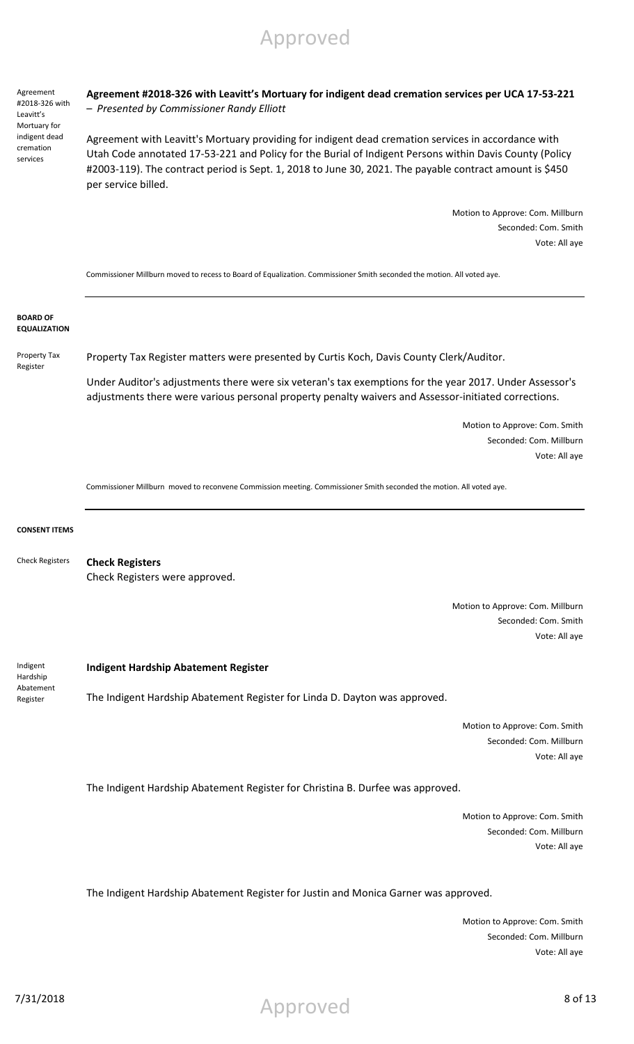Agreement #2018-326 with Leavitt's Mortuary for indigent dead cremation services

#### **Agreement #2018-326 with Leavitt's Mortuary for indigent dead cremation services per UCA 17-53-221**  – *Presented by Commissioner Randy Elliott*

Agreement with Leavitt's Mortuary providing for indigent dead cremation services in accordance with Utah Code annotated 17-53-221 and Policy for the Burial of Indigent Persons within Davis County (Policy #2003-119). The contract period is Sept. 1, 2018 to June 30, 2021. The payable contract amount is \$450 per service billed.

> Motion to Approve: Com. Millburn Seconded: Com. Smith Vote: All aye

Commissioner Millburn moved to recess to Board of Equalization. Commissioner Smith seconded the motion. All voted aye.

**BOARD OF EQUALIZATION**

Property Tax Register

Property Tax Register matters were presented by Curtis Koch, Davis County Clerk/Auditor.

Under Auditor's adjustments there were six veteran's tax exemptions for the year 2017. Under Assessor's adjustments there were various personal property penalty waivers and Assessor-initiated corrections.

> Motion to Approve: Com. Smith Seconded: Com. Millburn Vote: All aye

Commissioner Millburn moved to reconvene Commission meeting. Commissioner Smith seconded the motion. All voted aye.

#### **CONSENT ITEMS**

**Check Registers** Check Registers were approved. Check Registers

> Motion to Approve: Com. Millburn Seconded: Com. Smith Vote: All aye

Indigent **Hardship** Abatement Register

#### **Indigent Hardship Abatement Register**

The Indigent Hardship Abatement Register for Linda D. Dayton was approved.

Motion to Approve: Com. Smith Seconded: Com. Millburn Vote: All aye

The Indigent Hardship Abatement Register for Christina B. Durfee was approved.

Motion to Approve: Com. Smith Seconded: Com. Millburn Vote: All aye

The Indigent Hardship Abatement Register for Justin and Monica Garner was approved.

Motion to Approve: Com. Smith Seconded: Com. Millburn Vote: All aye

7/31/2018 8 of 13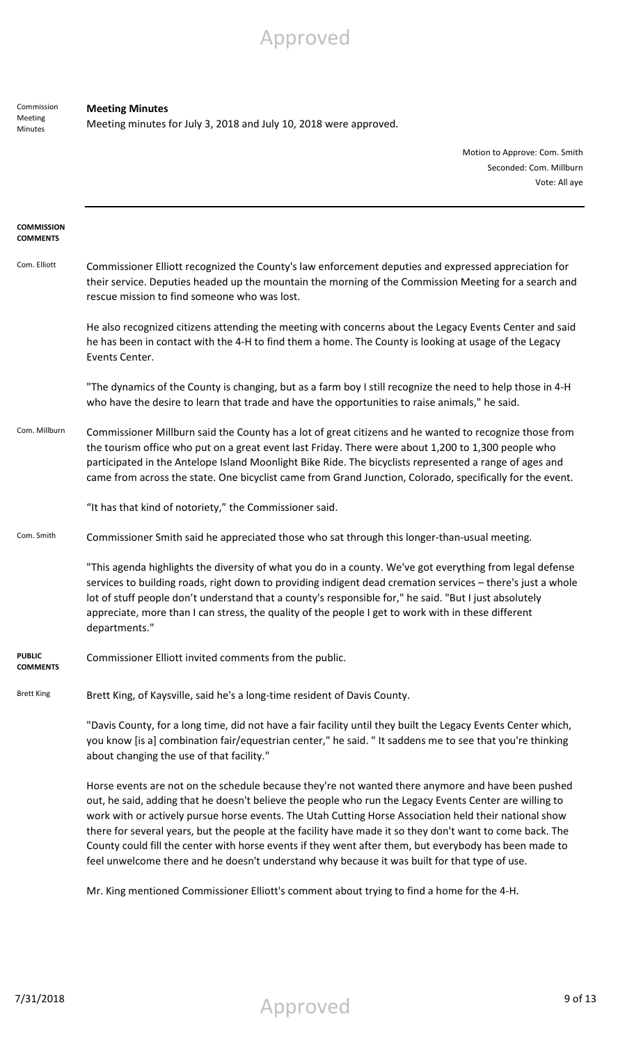Commission Meeting Minutes

#### **Meeting Minutes**

Meeting minutes for July 3, 2018 and July 10, 2018 were approved.

Motion to Approve: Com. Smith Seconded: Com. Millburn Vote: All aye

| <b>COMMISSION</b><br><b>COMMENTS</b> |                                                                                                                                                                                                                                                                                                                                                                                                                                                                                                                                                                                                                                                 |  |
|--------------------------------------|-------------------------------------------------------------------------------------------------------------------------------------------------------------------------------------------------------------------------------------------------------------------------------------------------------------------------------------------------------------------------------------------------------------------------------------------------------------------------------------------------------------------------------------------------------------------------------------------------------------------------------------------------|--|
| Com. Elliott                         | Commissioner Elliott recognized the County's law enforcement deputies and expressed appreciation for<br>their service. Deputies headed up the mountain the morning of the Commission Meeting for a search and<br>rescue mission to find someone who was lost.                                                                                                                                                                                                                                                                                                                                                                                   |  |
|                                      | He also recognized citizens attending the meeting with concerns about the Legacy Events Center and said<br>he has been in contact with the 4-H to find them a home. The County is looking at usage of the Legacy<br>Events Center.                                                                                                                                                                                                                                                                                                                                                                                                              |  |
|                                      | "The dynamics of the County is changing, but as a farm boy I still recognize the need to help those in 4-H<br>who have the desire to learn that trade and have the opportunities to raise animals," he said.                                                                                                                                                                                                                                                                                                                                                                                                                                    |  |
| Com. Millburn                        | Commissioner Millburn said the County has a lot of great citizens and he wanted to recognize those from<br>the tourism office who put on a great event last Friday. There were about 1,200 to 1,300 people who<br>participated in the Antelope Island Moonlight Bike Ride. The bicyclists represented a range of ages and<br>came from across the state. One bicyclist came from Grand Junction, Colorado, specifically for the event.                                                                                                                                                                                                          |  |
|                                      | "It has that kind of notoriety," the Commissioner said.                                                                                                                                                                                                                                                                                                                                                                                                                                                                                                                                                                                         |  |
| Com. Smith                           | Commissioner Smith said he appreciated those who sat through this longer-than-usual meeting.                                                                                                                                                                                                                                                                                                                                                                                                                                                                                                                                                    |  |
|                                      | "This agenda highlights the diversity of what you do in a county. We've got everything from legal defense<br>services to building roads, right down to providing indigent dead cremation services - there's just a whole<br>lot of stuff people don't understand that a county's responsible for," he said. "But I just absolutely<br>appreciate, more than I can stress, the quality of the people I get to work with in these different<br>departments."                                                                                                                                                                                      |  |
| <b>PUBLIC</b><br>COMMENTS            | Commissioner Elliott invited comments from the public.                                                                                                                                                                                                                                                                                                                                                                                                                                                                                                                                                                                          |  |
| <b>Brett King</b>                    | Brett King, of Kaysville, said he's a long-time resident of Davis County.                                                                                                                                                                                                                                                                                                                                                                                                                                                                                                                                                                       |  |
|                                      | "Davis County, for a long time, did not have a fair facility until they built the Legacy Events Center which,<br>you know [is a] combination fair/equestrian center," he said. "It saddens me to see that you're thinking<br>about changing the use of that facility."                                                                                                                                                                                                                                                                                                                                                                          |  |
|                                      | Horse events are not on the schedule because they're not wanted there anymore and have been pushed<br>out, he said, adding that he doesn't believe the people who run the Legacy Events Center are willing to<br>work with or actively pursue horse events. The Utah Cutting Horse Association held their national show<br>there for several years, but the people at the facility have made it so they don't want to come back. The<br>County could fill the center with horse events if they went after them, but everybody has been made to<br>feel unwelcome there and he doesn't understand why because it was built for that type of use. |  |

Mr. King mentioned Commissioner Elliott's comment about trying to find a home for the 4-H.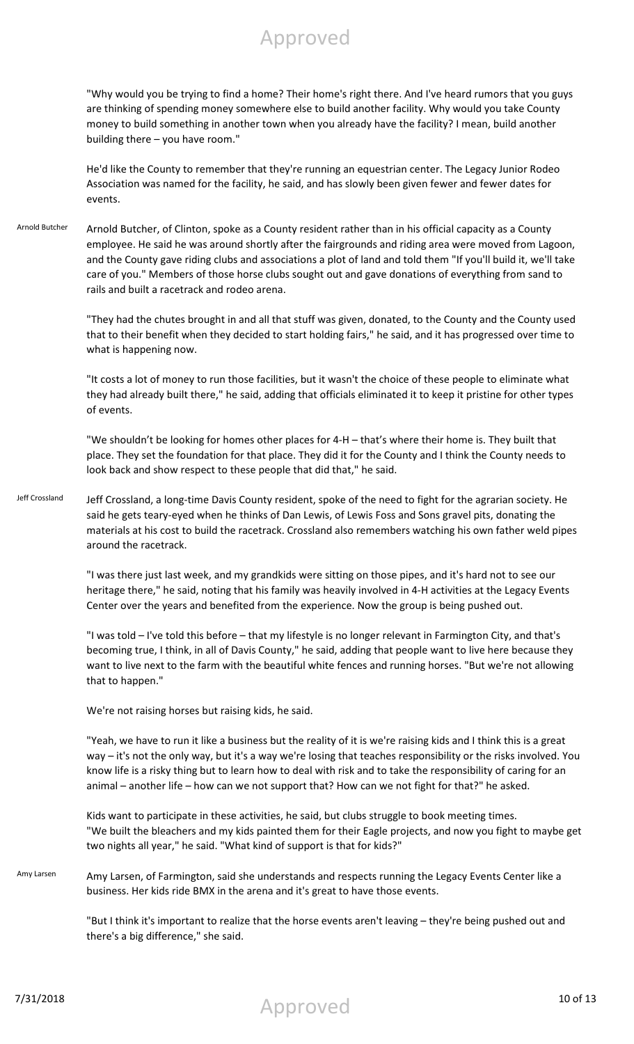"Why would you be trying to find a home? Their home's right there. And I've heard rumors that you guys are thinking of spending money somewhere else to build another facility. Why would you take County money to build something in another town when you already have the facility? I mean, build another building there – you have room."

He'd like the County to remember that they're running an equestrian center. The Legacy Junior Rodeo Association was named for the facility, he said, and has slowly been given fewer and fewer dates for events.

Arnold Butcher Arnold Butcher, of Clinton, spoke as a County resident rather than in his official capacity as a County employee. He said he was around shortly after the fairgrounds and riding area were moved from Lagoon, and the County gave riding clubs and associations a plot of land and told them "If you'll build it, we'll take care of you." Members of those horse clubs sought out and gave donations of everything from sand to rails and built a racetrack and rodeo arena.

> "They had the chutes brought in and all that stuff was given, donated, to the County and the County used that to their benefit when they decided to start holding fairs," he said, and it has progressed over time to what is happening now.

> "It costs a lot of money to run those facilities, but it wasn't the choice of these people to eliminate what they had already built there," he said, adding that officials eliminated it to keep it pristine for other types of events.

"We shouldn't be looking for homes other places for 4-H – that's where their home is. They built that place. They set the foundation for that place. They did it for the County and I think the County needs to look back and show respect to these people that did that," he said.

Jeff Crossland Jeff Crossland, a long-time Davis County resident, spoke of the need to fight for the agrarian society. He said he gets teary-eyed when he thinks of Dan Lewis, of Lewis Foss and Sons gravel pits, donating the materials at his cost to build the racetrack. Crossland also remembers watching his own father weld pipes around the racetrack.

> "I was there just last week, and my grandkids were sitting on those pipes, and it's hard not to see our heritage there," he said, noting that his family was heavily involved in 4-H activities at the Legacy Events Center over the years and benefited from the experience. Now the group is being pushed out.

> "I was told – I've told this before – that my lifestyle is no longer relevant in Farmington City, and that's becoming true, I think, in all of Davis County," he said, adding that people want to live here because they want to live next to the farm with the beautiful white fences and running horses. "But we're not allowing that to happen."

We're not raising horses but raising kids, he said.

"Yeah, we have to run it like a business but the reality of it is we're raising kids and I think this is a great way – it's not the only way, but it's a way we're losing that teaches responsibility or the risks involved. You know life is a risky thing but to learn how to deal with risk and to take the responsibility of caring for an animal – another life – how can we not support that? How can we not fight for that?" he asked.

Kids want to participate in these activities, he said, but clubs struggle to book meeting times. "We built the bleachers and my kids painted them for their Eagle projects, and now you fight to maybe get two nights all year," he said. "What kind of support is that for kids?"

Amy Larsen Amy Larsen, of Farmington, said she understands and respects running the Legacy Events Center like a business. Her kids ride BMX in the arena and it's great to have those events.

> "But I think it's important to realize that the horse events aren't leaving – they're being pushed out and there's a big difference," she said.

7/31/2018 Approved 10 of 13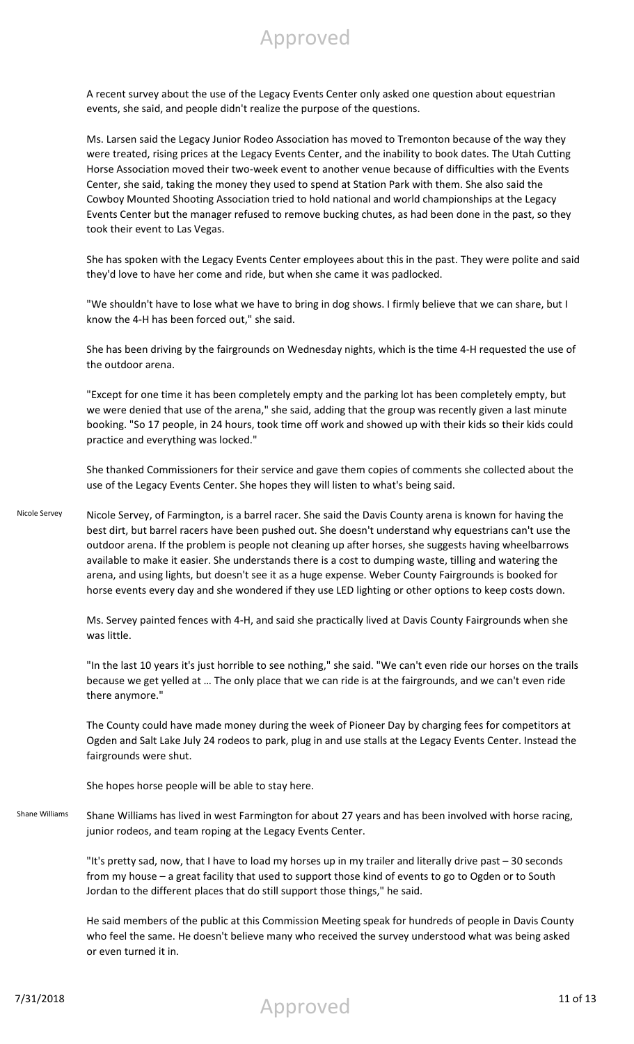A recent survey about the use of the Legacy Events Center only asked one question about equestrian events, she said, and people didn't realize the purpose of the questions.

Ms. Larsen said the Legacy Junior Rodeo Association has moved to Tremonton because of the way they were treated, rising prices at the Legacy Events Center, and the inability to book dates. The Utah Cutting Horse Association moved their two-week event to another venue because of difficulties with the Events Center, she said, taking the money they used to spend at Station Park with them. She also said the Cowboy Mounted Shooting Association tried to hold national and world championships at the Legacy Events Center but the manager refused to remove bucking chutes, as had been done in the past, so they took their event to Las Vegas.

She has spoken with the Legacy Events Center employees about this in the past. They were polite and said they'd love to have her come and ride, but when she came it was padlocked.

"We shouldn't have to lose what we have to bring in dog shows. I firmly believe that we can share, but I know the 4-H has been forced out," she said.

She has been driving by the fairgrounds on Wednesday nights, which is the time 4-H requested the use of the outdoor arena.

"Except for one time it has been completely empty and the parking lot has been completely empty, but we were denied that use of the arena," she said, adding that the group was recently given a last minute booking. "So 17 people, in 24 hours, took time off work and showed up with their kids so their kids could practice and everything was locked."

She thanked Commissioners for their service and gave them copies of comments she collected about the use of the Legacy Events Center. She hopes they will listen to what's being said.

Nicole Servey Nicole Servey, of Farmington, is a barrel racer. She said the Davis County arena is known for having the best dirt, but barrel racers have been pushed out. She doesn't understand why equestrians can't use the outdoor arena. If the problem is people not cleaning up after horses, she suggests having wheelbarrows available to make it easier. She understands there is a cost to dumping waste, tilling and watering the arena, and using lights, but doesn't see it as a huge expense. Weber County Fairgrounds is booked for horse events every day and she wondered if they use LED lighting or other options to keep costs down.

> Ms. Servey painted fences with 4-H, and said she practically lived at Davis County Fairgrounds when she was little.

"In the last 10 years it's just horrible to see nothing," she said. "We can't even ride our horses on the trails because we get yelled at … The only place that we can ride is at the fairgrounds, and we can't even ride there anymore."

The County could have made money during the week of Pioneer Day by charging fees for competitors at Ogden and Salt Lake July 24 rodeos to park, plug in and use stalls at the Legacy Events Center. Instead the fairgrounds were shut.

She hopes horse people will be able to stay here.

Shane Williams Shane Williams has lived in west Farmington for about 27 years and has been involved with horse racing, junior rodeos, and team roping at the Legacy Events Center.

> "It's pretty sad, now, that I have to load my horses up in my trailer and literally drive past – 30 seconds from my house – a great facility that used to support those kind of events to go to Ogden or to South Jordan to the different places that do still support those things," he said.

He said members of the public at this Commission Meeting speak for hundreds of people in Davis County who feel the same. He doesn't believe many who received the survey understood what was being asked or even turned it in.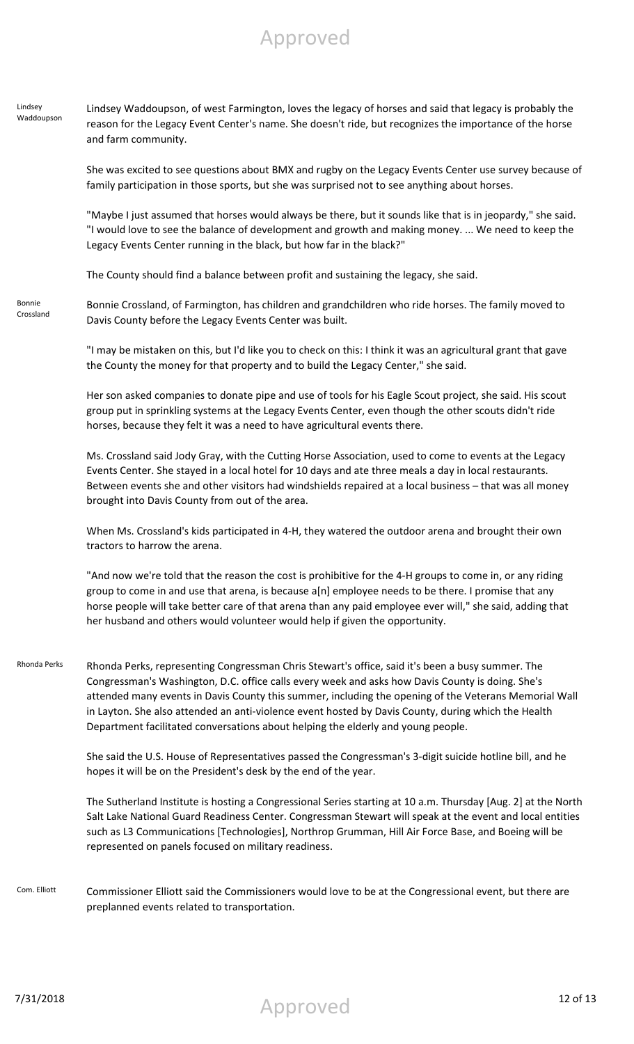#### Lindsey Waddoupson Lindsey Waddoupson, of west Farmington, loves the legacy of horses and said that legacy is probably the reason for the Legacy Event Center's name. She doesn't ride, but recognizes the importance of the horse and farm community.

She was excited to see questions about BMX and rugby on the Legacy Events Center use survey because of family participation in those sports, but she was surprised not to see anything about horses.

"Maybe I just assumed that horses would always be there, but it sounds like that is in jeopardy," she said. "I would love to see the balance of development and growth and making money. ... We need to keep the Legacy Events Center running in the black, but how far in the black?"

The County should find a balance between profit and sustaining the legacy, she said.

Bonnie Crossland

Bonnie Crossland, of Farmington, has children and grandchildren who ride horses. The family moved to Davis County before the Legacy Events Center was built.

"I may be mistaken on this, but I'd like you to check on this: I think it was an agricultural grant that gave the County the money for that property and to build the Legacy Center," she said.

Her son asked companies to donate pipe and use of tools for his Eagle Scout project, she said. His scout group put in sprinkling systems at the Legacy Events Center, even though the other scouts didn't ride horses, because they felt it was a need to have agricultural events there.

Ms. Crossland said Jody Gray, with the Cutting Horse Association, used to come to events at the Legacy Events Center. She stayed in a local hotel for 10 days and ate three meals a day in local restaurants. Between events she and other visitors had windshields repaired at a local business – that was all money brought into Davis County from out of the area.

When Ms. Crossland's kids participated in 4-H, they watered the outdoor arena and brought their own tractors to harrow the arena.

"And now we're told that the reason the cost is prohibitive for the 4-H groups to come in, or any riding group to come in and use that arena, is because a[n] employee needs to be there. I promise that any horse people will take better care of that arena than any paid employee ever will," she said, adding that her husband and others would volunteer would help if given the opportunity.

Rhonda Perks Rhonda Perks, representing Congressman Chris Stewart's office, said it's been a busy summer. The Congressman's Washington, D.C. office calls every week and asks how Davis County is doing. She's attended many events in Davis County this summer, including the opening of the Veterans Memorial Wall in Layton. She also attended an anti-violence event hosted by Davis County, during which the Health Department facilitated conversations about helping the elderly and young people.

> She said the U.S. House of Representatives passed the Congressman's 3-digit suicide hotline bill, and he hopes it will be on the President's desk by the end of the year.

The Sutherland Institute is hosting a Congressional Series starting at 10 a.m. Thursday [Aug. 2] at the North Salt Lake National Guard Readiness Center. Congressman Stewart will speak at the event and local entities such as L3 Communications [Technologies], Northrop Grumman, Hill Air Force Base, and Boeing will be represented on panels focused on military readiness.

Com. Elliott Commissioner Elliott said the Commissioners would love to be at the Congressional event, but there are preplanned events related to transportation.